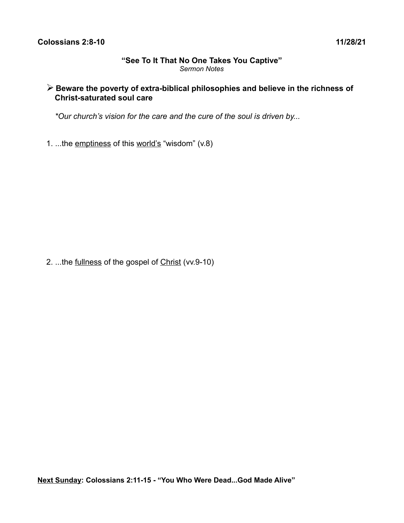### **"See To It That No One Takes You Captive"** *Sermon Notes*

# ➢ **Beware the poverty of extra-biblical philosophies and believe in the richness of Christ-saturated soul care**

*\*Our church's vision for the care and the cure of the soul is driven by...* 

1. ...the emptiness of this world's "wisdom" (v.8)

2. ...the fullness of the gospel of Christ (vv.9-10)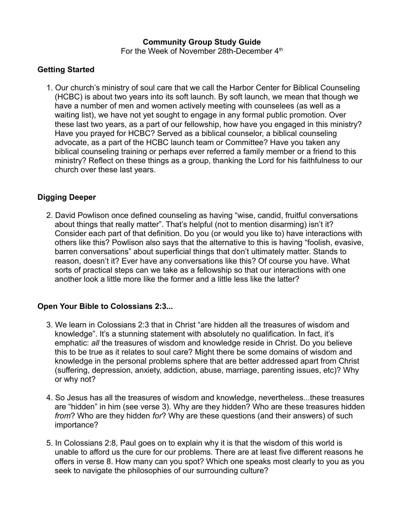#### **Community Group Study Guide** For the Week of November 28th-December 4<sup>th</sup>

# **Getting Started**

1. Our church's ministry of soul care that we call the Harbor Center for Biblical Counseling (HCBC) is about two years into its soft launch. By soft launch, we mean that though we have a number of men and women actively meeting with counselees (as well as a waiting list), we have not yet sought to engage in any formal public promotion. Over these last two years, as a part of our fellowship, how have you engaged in this ministry? Have you prayed for HCBC? Served as a biblical counselor, a biblical counseling advocate, as a part of the HCBC launch team or Committee? Have you taken any biblical counseling training or perhaps ever referred a family member or a friend to this ministry? Reflect on these things as a group, thanking the Lord for his faithfulness to our church over these last years.

# **Digging Deeper**

2. David Powlison once defined counseling as having "wise, candid, fruitful conversations about things that really matter". That's helpful (not to mention disarming) isn't it? Consider each part of that definition. Do you (or would you like to) have interactions with others like this? Powlison also says that the alternative to this is having "foolish, evasive, barren conversations" about superficial things that don't ultimately matter. Stands to reason, doesn't it? Ever have any conversations like this? Of course you have. What sorts of practical steps can we take as a fellowship so that our interactions with one another look a little more like the former and a little less like the latter?

### **Open Your Bible to Colossians 2:3...**

- 3. We learn in Colossians 2:3 that in Christ "are hidden all the treasures of wisdom and knowledge". It's a stunning statement with absolutely no qualification. In fact, it's emphatic: *all* the treasures of wisdom and knowledge reside in Christ. Do you believe this to be true as it relates to soul care? Might there be some domains of wisdom and knowledge in the personal problems sphere that are better addressed apart from Christ (suffering, depression, anxiety, addiction, abuse, marriage, parenting issues, etc)? Why or why not?
- 4. So Jesus has all the treasures of wisdom and knowledge, nevertheless...these treasures are "hidden" in him (see verse 3). Why are they hidden? Who are these treasures hidden *from*? Who are they hidden *for*? Why are these questions (and their answers) of such importance?
- 5. In Colossians 2:8, Paul goes on to explain why it is that the wisdom of this world is unable to afford us the cure for our problems. There are at least five different reasons he offers in verse 8. How many can you spot? Which one speaks most clearly to you as you seek to navigate the philosophies of our surrounding culture?